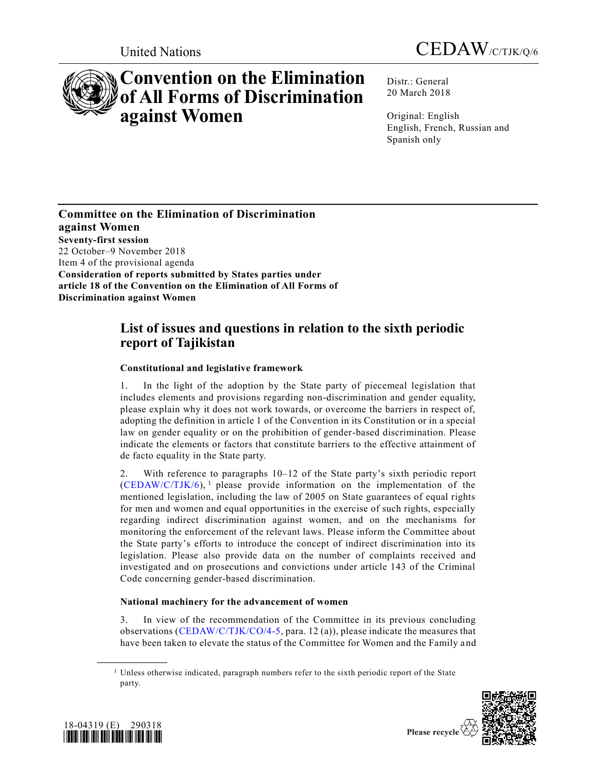



# **Convention on the Elimination of All Forms of Discrimination against Women**

Distr.: General 20 March 2018

Original: English English, French, Russian and Spanish only

**Committee on the Elimination of Discrimination against Women Seventy-first session** 22 October–9 November 2018 Item 4 of the provisional agenda **Consideration of reports submitted by States parties under article 18 of the Convention on the Elimination of All Forms of Discrimination against Women**

# **List of issues and questions in relation to the sixth periodic report of Tajikistan**

# **Constitutional and legislative framework**

1. In the light of the adoption by the State party of piecemeal legislation that includes elements and provisions regarding non-discrimination and gender equality, please explain why it does not work towards, or overcome the barriers in respect of, adopting the definition in article 1 of the Convention in its Constitution or in a special law on gender equality or on the prohibition of gender-based discrimination. Please indicate the elements or factors that constitute barriers to the effective attainment of de facto equality in the State party.

2. With reference to paragraphs 10–12 of the State party's sixth periodic report  $(CEDAW/C/TJK/6)$ , <sup>1</sup> please provide information on the implementation of the mentioned legislation, including the law of 2005 on State guarantees of equal rights for men and women and equal opportunities in the exercise of such rights, especially regarding indirect discrimination against women, and on the mechanisms for monitoring the enforcement of the relevant laws. Please inform the Committee about the State party's efforts to introduce the concept of indirect discrimination into its legislation. Please also provide data on the number of complaints received and investigated and on prosecutions and convictions under article 143 of the Criminal Code concerning gender-based discrimination.

## **National machinery for the advancement of women**

3. In view of the recommendation of the Committee in its previous concluding observations [\(CEDAW/C/TJK/CO/4-5,](https://undocs.org/CEDAW/C/TJK/CO/4) para. 12 (a)), please indicate the measures that have been taken to elevate the status of the Committee for Women and the Family and

 $<sup>1</sup>$  Unless otherwise indicated, paragraph numbers refer to the sixth periodic report of the State</sup> party.





**\_\_\_\_\_\_\_\_\_\_\_\_\_\_\_\_\_\_**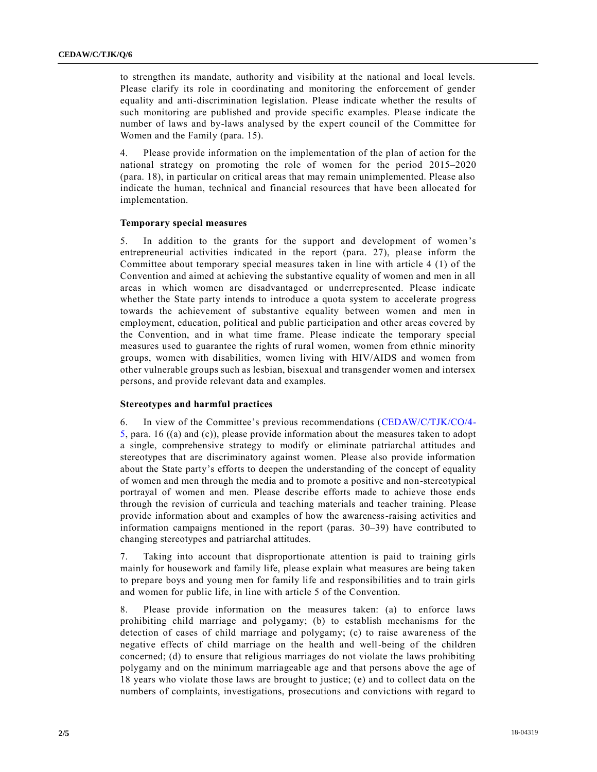to strengthen its mandate, authority and visibility at the national and local levels. Please clarify its role in coordinating and monitoring the enforcement of gender equality and anti-discrimination legislation. Please indicate whether the results of such monitoring are published and provide specific examples. Please indicate the number of laws and by-laws analysed by the expert council of the Committee for Women and the Family (para. 15).

4. Please provide information on the implementation of the plan of action for the national strategy on promoting the role of women for the period 2015–2020 (para. 18), in particular on critical areas that may remain unimplemented. Please also indicate the human, technical and financial resources that have been allocated for implementation.

#### **Temporary special measures**

5. In addition to the grants for the support and development of women's entrepreneurial activities indicated in the report (para. 27), please inform the Committee about temporary special measures taken in line with article 4 (1) of the Convention and aimed at achieving the substantive equality of women and men in all areas in which women are disadvantaged or underrepresented. Please indicate whether the State party intends to introduce a quota system to accelerate progress towards the achievement of substantive equality between women and men in employment, education, political and public participation and other areas covered by the Convention, and in what time frame. Please indicate the temporary special measures used to guarantee the rights of rural women, women from ethnic minority groups, women with disabilities, women living with HIV/AIDS and women from other vulnerable groups such as lesbian, bisexual and transgender women and intersex persons, and provide relevant data and examples.

#### **Stereotypes and harmful practices**

6. In view of the Committee's previous recommendations [\(CEDAW/C/TJK/CO/4-](https://undocs.org/CEDAW/C/TJK/CO/4) [5,](https://undocs.org/CEDAW/C/TJK/CO/4) para. 16 ((a) and (c)), please provide information about the measures taken to adopt a single, comprehensive strategy to modify or eliminate patriarchal attitudes and stereotypes that are discriminatory against women. Please also provide information about the State party's efforts to deepen the understanding of the concept of equality of women and men through the media and to promote a positive and non-stereotypical portrayal of women and men. Please describe efforts made to achieve those ends through the revision of curricula and teaching materials and teacher training. Please provide information about and examples of how the awareness-raising activities and information campaigns mentioned in the report (paras. 30–39) have contributed to changing stereotypes and patriarchal attitudes.

7. Taking into account that disproportionate attention is paid to training girls mainly for housework and family life, please explain what measures are being taken to prepare boys and young men for family life and responsibilities and to train girls and women for public life, in line with article 5 of the Convention.

8. Please provide information on the measures taken: (a) to enforce laws prohibiting child marriage and polygamy; (b) to establish mechanisms for the detection of cases of child marriage and polygamy; (c) to raise awareness of the negative effects of child marriage on the health and well-being of the children concerned; (d) to ensure that religious marriages do not violate the laws prohibiting polygamy and on the minimum marriageable age and that persons above the age of 18 years who violate those laws are brought to justice; (e) and to collect data on the numbers of complaints, investigations, prosecutions and convictions with regard to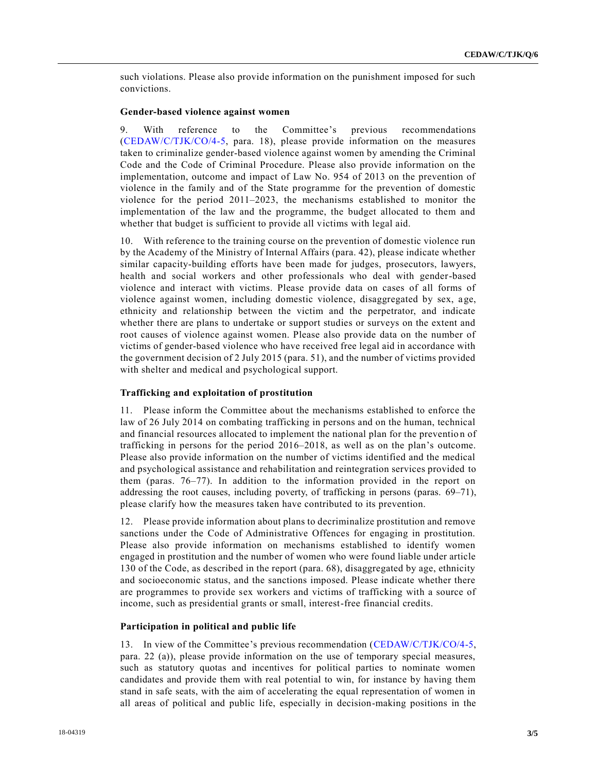such violations. Please also provide information on the punishment imposed for such convictions.

#### **Gender-based violence against women**

9. With reference to the Committee's previous recommendations [\(CEDAW/C/TJK/CO/4-5,](https://undocs.org/CEDAW/C/TJK/CO/4) para. 18), please provide information on the measures taken to criminalize gender-based violence against women by amending the Criminal Code and the Code of Criminal Procedure. Please also provide information on the implementation, outcome and impact of Law No. 954 of 2013 on the prevention of violence in the family and of the State programme for the prevention of domestic violence for the period 2011–2023, the mechanisms established to monitor the implementation of the law and the programme, the budget allocated to them and whether that budget is sufficient to provide all victims with legal aid.

10. With reference to the training course on the prevention of domestic violence run by the Academy of the Ministry of Internal Affairs (para. 42), please indicate whether similar capacity-building efforts have been made for judges, prosecutors, lawyers, health and social workers and other professionals who deal with gender-based violence and interact with victims. Please provide data on cases of all forms of violence against women, including domestic violence, disaggregated by sex, age, ethnicity and relationship between the victim and the perpetrator, and indicate whether there are plans to undertake or support studies or surveys on the extent and root causes of violence against women. Please also provide data on the number of victims of gender-based violence who have received free legal aid in accordance with the government decision of 2 July 2015 (para. 51), and the number of victims provided with shelter and medical and psychological support.

#### **Trafficking and exploitation of prostitution**

11. Please inform the Committee about the mechanisms established to enforce the law of 26 July 2014 on combating trafficking in persons and on the human, technical and financial resources allocated to implement the national plan for the preventio n of trafficking in persons for the period 2016–2018, as well as on the plan's outcome. Please also provide information on the number of victims identified and the medical and psychological assistance and rehabilitation and reintegration services provided to them (paras. 76–77). In addition to the information provided in the report on addressing the root causes, including poverty, of trafficking in persons (paras. 69–71), please clarify how the measures taken have contributed to its prevention.

12. Please provide information about plans to decriminalize prostitution and remove sanctions under the Code of Administrative Offences for engaging in prostitution. Please also provide information on mechanisms established to identify women engaged in prostitution and the number of women who were found liable under article 130 of the Code, as described in the report (para. 68), disaggregated by age, ethnicity and socioeconomic status, and the sanctions imposed. Please indicate whether there are programmes to provide sex workers and victims of trafficking with a source of income, such as presidential grants or small, interest-free financial credits.

#### **Participation in political and public life**

13. In view of the Committee's previous recommendation [\(CEDAW/C/TJK/CO/4-5,](https://undocs.org/CEDAW/C/TJK/CO/4) para. 22 (a)), please provide information on the use of temporary special measures, such as statutory quotas and incentives for political parties to nominate women candidates and provide them with real potential to win, for instance by having them stand in safe seats, with the aim of accelerating the equal representation of women in all areas of political and public life, especially in decision-making positions in the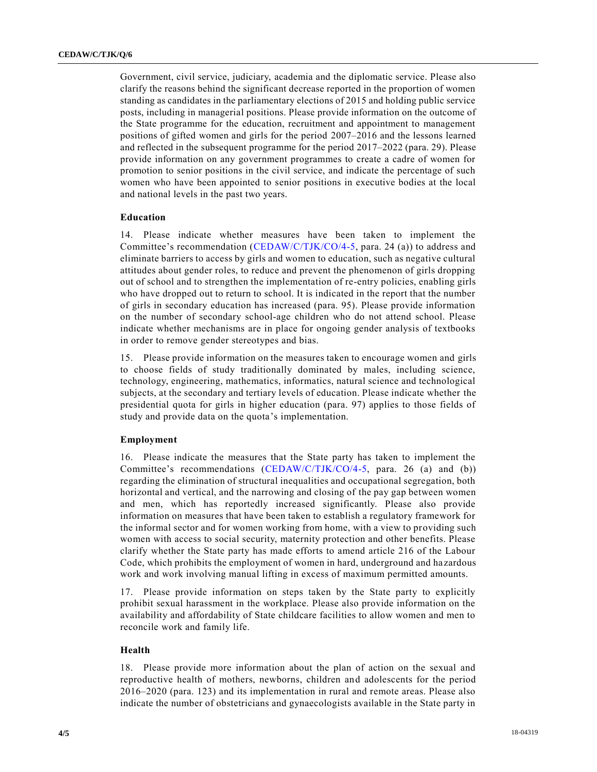Government, civil service, judiciary, academia and the diplomatic service. Please also clarify the reasons behind the significant decrease reported in the proportion of women standing as candidates in the parliamentary elections of 2015 and holding public service posts, including in managerial positions. Please provide information on the outcome of the State programme for the education, recruitment and appointment to management positions of gifted women and girls for the period 2007–2016 and the lessons learned and reflected in the subsequent programme for the period 2017–2022 (para. 29). Please provide information on any government programmes to create a cadre of women for promotion to senior positions in the civil service, and indicate the percentage of such women who have been appointed to senior positions in executive bodies at the local and national levels in the past two years.

#### **Education**

14. Please indicate whether measures have been taken to implement the Committee's recommendation [\(CEDAW/C/TJK/CO/4-5,](https://undocs.org/CEDAW/C/TJK/CO/4) para. 24 (a)) to address and eliminate barriers to access by girls and women to education, such as negative cultural attitudes about gender roles, to reduce and prevent the phenomenon of girls dropping out of school and to strengthen the implementation of re-entry policies, enabling girls who have dropped out to return to school. It is indicated in the report that the number of girls in secondary education has increased (para. 95). Please provide information on the number of secondary school-age children who do not attend school. Please indicate whether mechanisms are in place for ongoing gender analysis of textbooks in order to remove gender stereotypes and bias.

15. Please provide information on the measures taken to encourage women and girls to choose fields of study traditionally dominated by males, including science, technology, engineering, mathematics, informatics, natural science and technological subjects, at the secondary and tertiary levels of education. Please indicate whether the presidential quota for girls in higher education (para. 97) applies to those fields of study and provide data on the quota's implementation.

### **Employment**

16. Please indicate the measures that the State party has taken to implement the Committee's recommendations [\(CEDAW/C/TJK/CO/4-5,](https://undocs.org/CEDAW/C/TJK/CO/4) para. 26 (a) and (b)) regarding the elimination of structural inequalities and occupational segregation, both horizontal and vertical, and the narrowing and closing of the pay gap between women and men, which has reportedly increased significantly. Please also provide information on measures that have been taken to establish a regulatory framework for the informal sector and for women working from home, with a view to providing such women with access to social security, maternity protection and other benefits. Please clarify whether the State party has made efforts to amend article 216 of the Labour Code, which prohibits the employment of women in hard, underground and ha zardous work and work involving manual lifting in excess of maximum permitted amounts.

17. Please provide information on steps taken by the State party to explicitly prohibit sexual harassment in the workplace. Please also provide information on the availability and affordability of State childcare facilities to allow women and men to reconcile work and family life.

#### **Health**

18. Please provide more information about the plan of action on the sexual and reproductive health of mothers, newborns, children and adolescents for the period 2016–2020 (para. 123) and its implementation in rural and remote areas. Please also indicate the number of obstetricians and gynaecologists available in the State party in